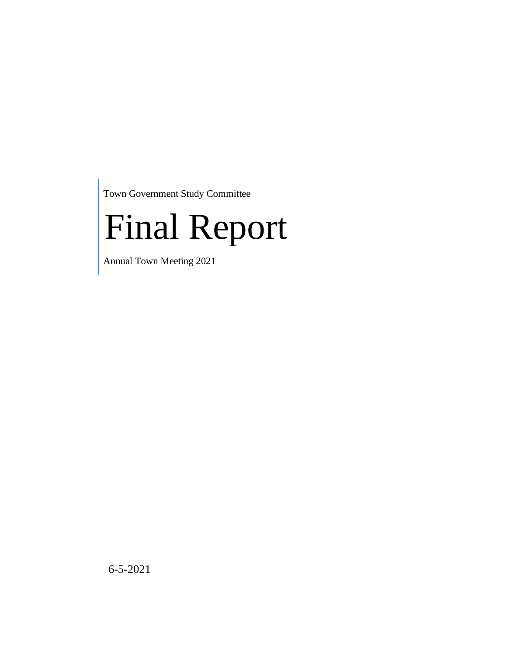Town Government Study Committee

# Final Report

Annual Town Meeting 2021

6-5-2021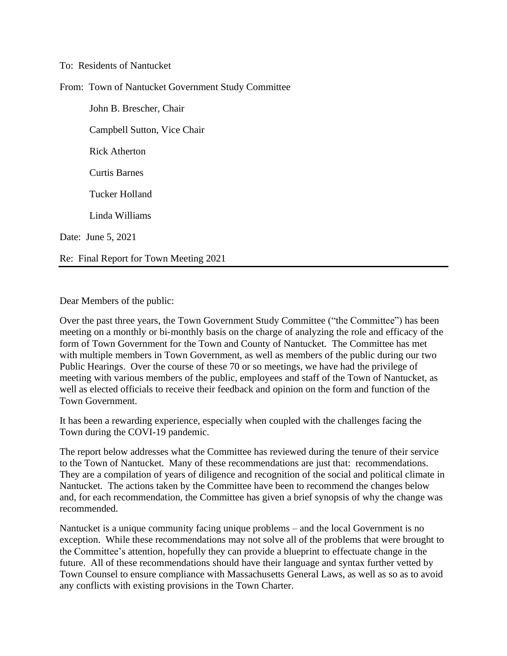#### To: Residents of Nantucket

From: Town of Nantucket Government Study Committee

John B. Brescher, Chair Campbell Sutton, Vice Chair Rick Atherton Curtis Barnes Tucker Holland Linda Williams Date: June 5, 2021 Re: Final Report for Town Meeting 2021

Dear Members of the public:

Over the past three years, the Town Government Study Committee ("the Committee") has been meeting on a monthly or bi-monthly basis on the charge of analyzing the role and efficacy of the form of Town Government for the Town and County of Nantucket. The Committee has met with multiple members in Town Government, as well as members of the public during our two Public Hearings. Over the course of these 70 or so meetings, we have had the privilege of meeting with various members of the public, employees and staff of the Town of Nantucket, as well as elected officials to receive their feedback and opinion on the form and function of the Town Government.

It has been a rewarding experience, especially when coupled with the challenges facing the Town during the COVI-19 pandemic.

The report below addresses what the Committee has reviewed during the tenure of their service to the Town of Nantucket. Many of these recommendations are just that: recommendations. They are a compilation of years of diligence and recognition of the social and political climate in Nantucket. The actions taken by the Committee have been to recommend the changes below and, for each recommendation, the Committee has given a brief synopsis of why the change was recommended.

Nantucket is a unique community facing unique problems – and the local Government is no exception. While these recommendations may not solve all of the problems that were brought to the Committee's attention, hopefully they can provide a blueprint to effectuate change in the future. All of these recommendations should have their language and syntax further vetted by Town Counsel to ensure compliance with Massachusetts General Laws, as well as so as to avoid any conflicts with existing provisions in the Town Charter.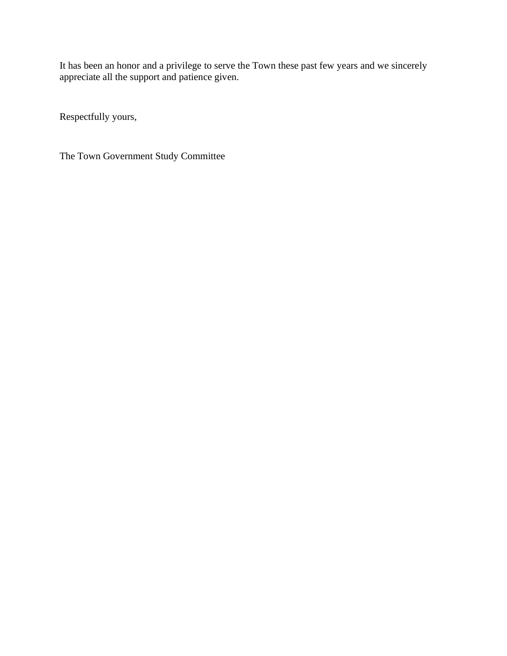It has been an honor and a privilege to serve the Town these past few years and we sincerely appreciate all the support and patience given.

Respectfully yours,

The Town Government Study Committee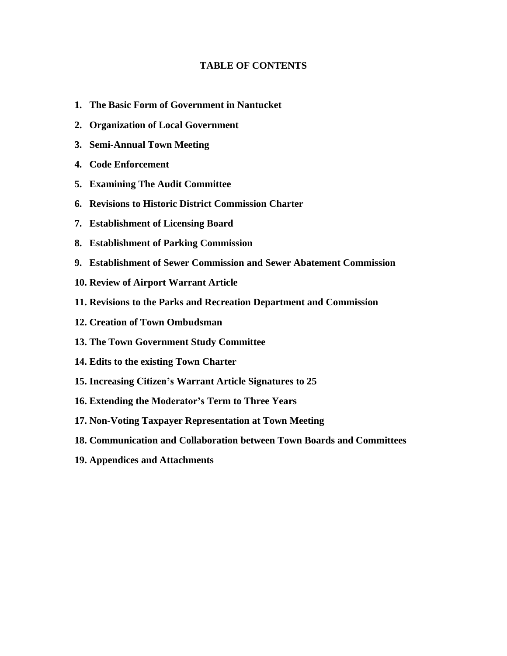#### **TABLE OF CONTENTS**

- **1. The Basic Form of Government in Nantucket**
- **2. Organization of Local Government**
- **3. Semi-Annual Town Meeting**
- **4. Code Enforcement**
- **5. Examining The Audit Committee**
- **6. Revisions to Historic District Commission Charter**
- **7. Establishment of Licensing Board**
- **8. Establishment of Parking Commission**
- **9. Establishment of Sewer Commission and Sewer Abatement Commission**
- **10. Review of Airport Warrant Article**
- **11. Revisions to the Parks and Recreation Department and Commission**
- **12. Creation of Town Ombudsman**
- **13. The Town Government Study Committee**
- **14. Edits to the existing Town Charter**
- **15. Increasing Citizen's Warrant Article Signatures to 25**
- **16. Extending the Moderator's Term to Three Years**
- **17. Non-Voting Taxpayer Representation at Town Meeting**
- **18. Communication and Collaboration between Town Boards and Committees**
- **19. Appendices and Attachments**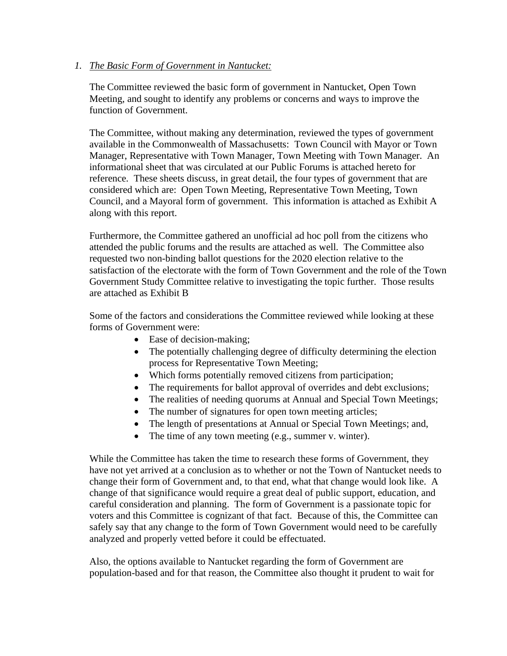#### *1. The Basic Form of Government in Nantucket:*

The Committee reviewed the basic form of government in Nantucket, Open Town Meeting, and sought to identify any problems or concerns and ways to improve the function of Government.

The Committee, without making any determination, reviewed the types of government available in the Commonwealth of Massachusetts: Town Council with Mayor or Town Manager, Representative with Town Manager, Town Meeting with Town Manager. An informational sheet that was circulated at our Public Forums is attached hereto for reference. These sheets discuss, in great detail, the four types of government that are considered which are: Open Town Meeting, Representative Town Meeting, Town Council, and a Mayoral form of government. This information is attached as Exhibit A along with this report.

Furthermore, the Committee gathered an unofficial ad hoc poll from the citizens who attended the public forums and the results are attached as well. The Committee also requested two non-binding ballot questions for the 2020 election relative to the satisfaction of the electorate with the form of Town Government and the role of the Town Government Study Committee relative to investigating the topic further. Those results are attached as Exhibit B

Some of the factors and considerations the Committee reviewed while looking at these forms of Government were:

- Ease of decision-making;
- The potentially challenging degree of difficulty determining the election process for Representative Town Meeting;
- Which forms potentially removed citizens from participation;
- The requirements for ballot approval of overrides and debt exclusions;
- The realities of needing quorums at Annual and Special Town Meetings;
- The number of signatures for open town meeting articles;
- The length of presentations at Annual or Special Town Meetings; and,
- The time of any town meeting (e.g., summer v. winter).

While the Committee has taken the time to research these forms of Government, they have not yet arrived at a conclusion as to whether or not the Town of Nantucket needs to change their form of Government and, to that end, what that change would look like. A change of that significance would require a great deal of public support, education, and careful consideration and planning. The form of Government is a passionate topic for voters and this Committee is cognizant of that fact. Because of this, the Committee can safely say that any change to the form of Town Government would need to be carefully analyzed and properly vetted before it could be effectuated.

Also, the options available to Nantucket regarding the form of Government are population-based and for that reason, the Committee also thought it prudent to wait for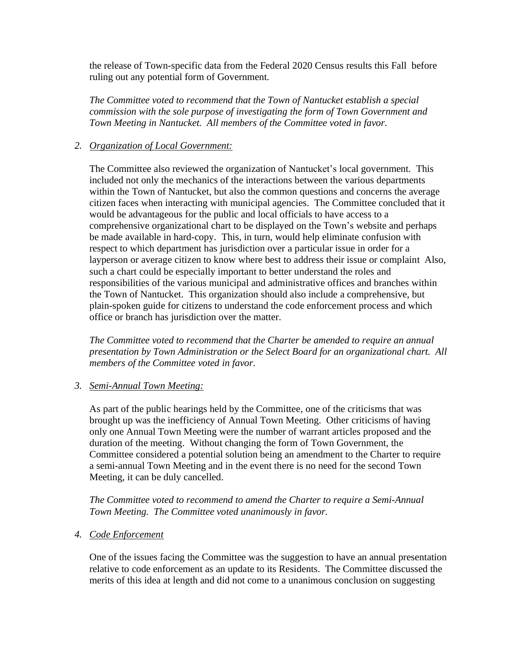the release of Town-specific data from the Federal 2020 Census results this Fall before ruling out any potential form of Government.

*The Committee voted to recommend that the Town of Nantucket establish a special commission with the sole purpose of investigating the form of Town Government and Town Meeting in Nantucket. All members of the Committee voted in favor.* 

# *2. Organization of Local Government:*

The Committee also reviewed the organization of Nantucket's local government. This included not only the mechanics of the interactions between the various departments within the Town of Nantucket, but also the common questions and concerns the average citizen faces when interacting with municipal agencies. The Committee concluded that it would be advantageous for the public and local officials to have access to a comprehensive organizational chart to be displayed on the Town's website and perhaps be made available in hard-copy. This, in turn, would help eliminate confusion with respect to which department has jurisdiction over a particular issue in order for a layperson or average citizen to know where best to address their issue or complaint Also, such a chart could be especially important to better understand the roles and responsibilities of the various municipal and administrative offices and branches within the Town of Nantucket. This organization should also include a comprehensive, but plain-spoken guide for citizens to understand the code enforcement process and which office or branch has jurisdiction over the matter.

*The Committee voted to recommend that the Charter be amended to require an annual presentation by Town Administration or the Select Board for an organizational chart. All members of the Committee voted in favor.*

# *3. Semi-Annual Town Meeting:*

As part of the public hearings held by the Committee, one of the criticisms that was brought up was the inefficiency of Annual Town Meeting. Other criticisms of having only one Annual Town Meeting were the number of warrant articles proposed and the duration of the meeting. Without changing the form of Town Government, the Committee considered a potential solution being an amendment to the Charter to require a semi-annual Town Meeting and in the event there is no need for the second Town Meeting, it can be duly cancelled.

*The Committee voted to recommend to amend the Charter to require a Semi-Annual Town Meeting. The Committee voted unanimously in favor.* 

# *4. Code Enforcement*

One of the issues facing the Committee was the suggestion to have an annual presentation relative to code enforcement as an update to its Residents. The Committee discussed the merits of this idea at length and did not come to a unanimous conclusion on suggesting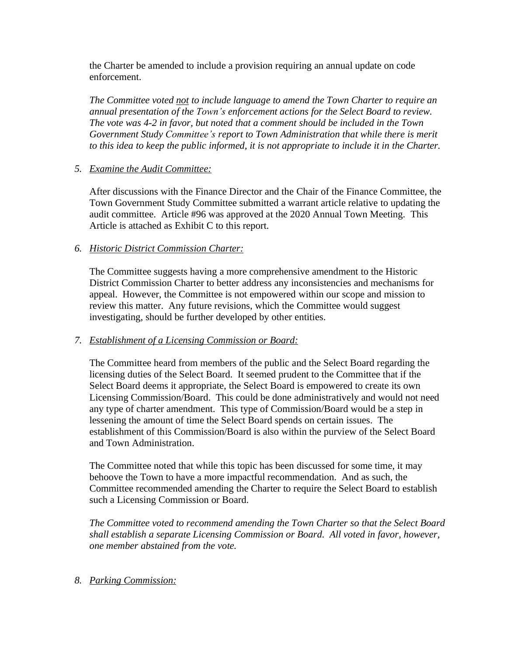the Charter be amended to include a provision requiring an annual update on code enforcement.

*The Committee voted not to include language to amend the Town Charter to require an annual presentation of the Town's enforcement actions for the Select Board to review. The vote was 4-2 in favor, but noted that a comment should be included in the Town Government Study Committee's report to Town Administration that while there is merit to this idea to keep the public informed, it is not appropriate to include it in the Charter.* 

## *5. Examine the Audit Committee:*

After discussions with the Finance Director and the Chair of the Finance Committee, the Town Government Study Committee submitted a warrant article relative to updating the audit committee. Article #96 was approved at the 2020 Annual Town Meeting. This Article is attached as Exhibit C to this report.

## *6. Historic District Commission Charter:*

The Committee suggests having a more comprehensive amendment to the Historic District Commission Charter to better address any inconsistencies and mechanisms for appeal. However, the Committee is not empowered within our scope and mission to review this matter. Any future revisions, which the Committee would suggest investigating, should be further developed by other entities.

# *7. Establishment of a Licensing Commission or Board:*

The Committee heard from members of the public and the Select Board regarding the licensing duties of the Select Board. It seemed prudent to the Committee that if the Select Board deems it appropriate, the Select Board is empowered to create its own Licensing Commission/Board. This could be done administratively and would not need any type of charter amendment. This type of Commission/Board would be a step in lessening the amount of time the Select Board spends on certain issues. The establishment of this Commission/Board is also within the purview of the Select Board and Town Administration.

The Committee noted that while this topic has been discussed for some time, it may behoove the Town to have a more impactful recommendation. And as such, the Committee recommended amending the Charter to require the Select Board to establish such a Licensing Commission or Board.

*The Committee voted to recommend amending the Town Charter so that the Select Board shall establish a separate Licensing Commission or Board. All voted in favor, however, one member abstained from the vote.* 

*8. Parking Commission:*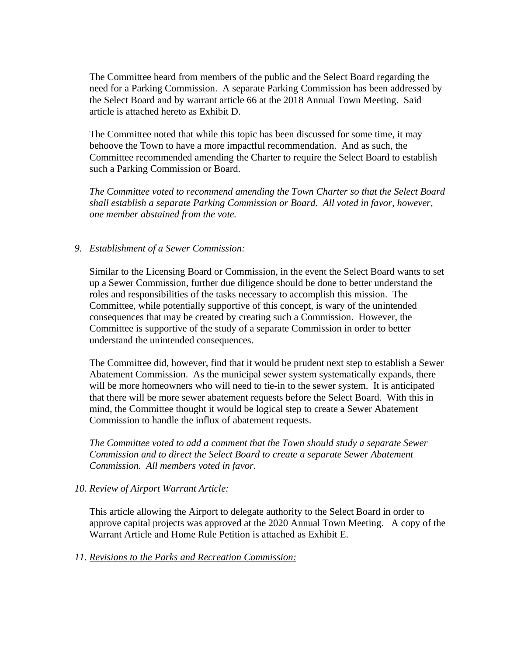The Committee heard from members of the public and the Select Board regarding the need for a Parking Commission. A separate Parking Commission has been addressed by the Select Board and by warrant article 66 at the 2018 Annual Town Meeting. Said article is attached hereto as Exhibit D.

The Committee noted that while this topic has been discussed for some time, it may behoove the Town to have a more impactful recommendation. And as such, the Committee recommended amending the Charter to require the Select Board to establish such a Parking Commission or Board.

*The Committee voted to recommend amending the Town Charter so that the Select Board shall establish a separate Parking Commission or Board. All voted in favor, however, one member abstained from the vote.* 

# *9. Establishment of a Sewer Commission:*

Similar to the Licensing Board or Commission, in the event the Select Board wants to set up a Sewer Commission, further due diligence should be done to better understand the roles and responsibilities of the tasks necessary to accomplish this mission. The Committee, while potentially supportive of this concept, is wary of the unintended consequences that may be created by creating such a Commission. However, the Committee is supportive of the study of a separate Commission in order to better understand the unintended consequences.

The Committee did, however, find that it would be prudent next step to establish a Sewer Abatement Commission. As the municipal sewer system systematically expands, there will be more homeowners who will need to tie-in to the sewer system. It is anticipated that there will be more sewer abatement requests before the Select Board. With this in mind, the Committee thought it would be logical step to create a Sewer Abatement Commission to handle the influx of abatement requests.

*The Committee voted to add a comment that the Town should study a separate Sewer Commission and to direct the Select Board to create a separate Sewer Abatement Commission. All members voted in favor.* 

#### *10. Review of Airport Warrant Article:*

This article allowing the Airport to delegate authority to the Select Board in order to approve capital projects was approved at the 2020 Annual Town Meeting. A copy of the Warrant Article and Home Rule Petition is attached as Exhibit E.

#### *11. Revisions to the Parks and Recreation Commission:*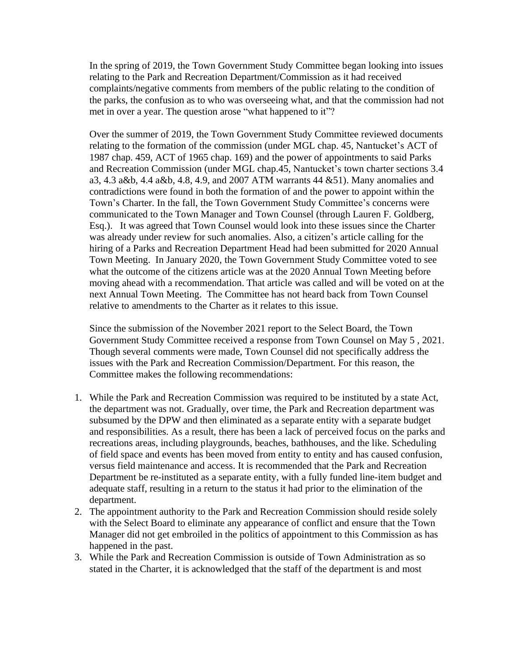In the spring of 2019, the Town Government Study Committee began looking into issues relating to the Park and Recreation Department/Commission as it had received complaints/negative comments from members of the public relating to the condition of the parks, the confusion as to who was overseeing what, and that the commission had not met in over a year. The question arose "what happened to it"?

Over the summer of 2019, the Town Government Study Committee reviewed documents relating to the formation of the commission (under MGL chap. 45, Nantucket's ACT of 1987 chap. 459, ACT of 1965 chap. 169) and the power of appointments to said Parks and Recreation Commission (under MGL chap.45, Nantucket's town charter sections 3.4 a3, 4.3 a&b, 4.4 a&b, 4.8, 4.9, and 2007 ATM warrants 44 &51). Many anomalies and contradictions were found in both the formation of and the power to appoint within the Town's Charter. In the fall, the Town Government Study Committee's concerns were communicated to the Town Manager and Town Counsel (through Lauren F. Goldberg, Esq.). It was agreed that Town Counsel would look into these issues since the Charter was already under review for such anomalies. Also, a citizen's article calling for the hiring of a Parks and Recreation Department Head had been submitted for 2020 Annual Town Meeting. In January 2020, the Town Government Study Committee voted to see what the outcome of the citizens article was at the 2020 Annual Town Meeting before moving ahead with a recommendation. That article was called and will be voted on at the next Annual Town Meeting. The Committee has not heard back from Town Counsel relative to amendments to the Charter as it relates to this issue.

Since the submission of the November 2021 report to the Select Board, the Town Government Study Committee received a response from Town Counsel on May 5 , 2021. Though several comments were made, Town Counsel did not specifically address the issues with the Park and Recreation Commission/Department. For this reason, the Committee makes the following recommendations:

- 1. While the Park and Recreation Commission was required to be instituted by a state Act, the department was not. Gradually, over time, the Park and Recreation department was subsumed by the DPW and then eliminated as a separate entity with a separate budget and responsibilities. As a result, there has been a lack of perceived focus on the parks and recreations areas, including playgrounds, beaches, bathhouses, and the like. Scheduling of field space and events has been moved from entity to entity and has caused confusion, versus field maintenance and access. It is recommended that the Park and Recreation Department be re-instituted as a separate entity, with a fully funded line-item budget and adequate staff, resulting in a return to the status it had prior to the elimination of the department.
- 2. The appointment authority to the Park and Recreation Commission should reside solely with the Select Board to eliminate any appearance of conflict and ensure that the Town Manager did not get embroiled in the politics of appointment to this Commission as has happened in the past.
- 3. While the Park and Recreation Commission is outside of Town Administration as so stated in the Charter, it is acknowledged that the staff of the department is and most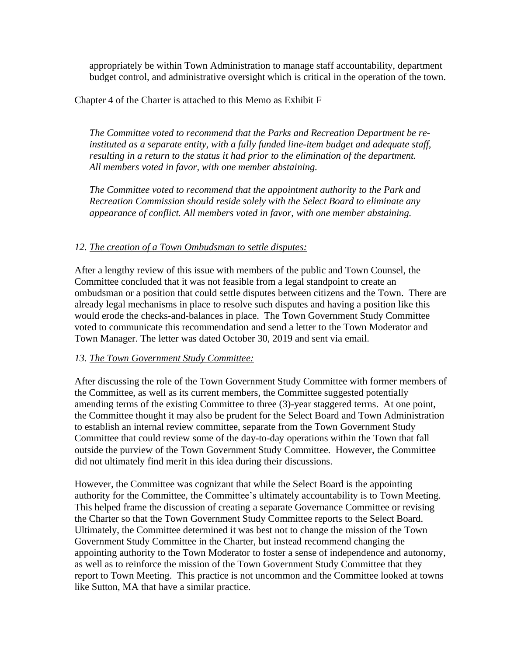appropriately be within Town Administration to manage staff accountability, department budget control, and administrative oversight which is critical in the operation of the town.

## Chapter 4 of the Charter is attached to this Memo as Exhibit F

*The Committee voted to recommend that the Parks and Recreation Department be reinstituted as a separate entity, with a fully funded line-item budget and adequate staff, resulting in a return to the status it had prior to the elimination of the department. All members voted in favor, with one member abstaining.* 

*The Committee voted to recommend that the appointment authority to the Park and Recreation Commission should reside solely with the Select Board to eliminate any appearance of conflict. All members voted in favor, with one member abstaining.* 

## *12. The creation of a Town Ombudsman to settle disputes:*

After a lengthy review of this issue with members of the public and Town Counsel, the Committee concluded that it was not feasible from a legal standpoint to create an ombudsman or a position that could settle disputes between citizens and the Town. There are already legal mechanisms in place to resolve such disputes and having a position like this would erode the checks-and-balances in place. The Town Government Study Committee voted to communicate this recommendation and send a letter to the Town Moderator and Town Manager. The letter was dated October 30, 2019 and sent via email.

# *13. The Town Government Study Committee:*

After discussing the role of the Town Government Study Committee with former members of the Committee, as well as its current members, the Committee suggested potentially amending terms of the existing Committee to three (3)-year staggered terms. At one point, the Committee thought it may also be prudent for the Select Board and Town Administration to establish an internal review committee, separate from the Town Government Study Committee that could review some of the day-to-day operations within the Town that fall outside the purview of the Town Government Study Committee. However, the Committee did not ultimately find merit in this idea during their discussions.

However, the Committee was cognizant that while the Select Board is the appointing authority for the Committee, the Committee's ultimately accountability is to Town Meeting. This helped frame the discussion of creating a separate Governance Committee or revising the Charter so that the Town Government Study Committee reports to the Select Board. Ultimately, the Committee determined it was best not to change the mission of the Town Government Study Committee in the Charter, but instead recommend changing the appointing authority to the Town Moderator to foster a sense of independence and autonomy, as well as to reinforce the mission of the Town Government Study Committee that they report to Town Meeting. This practice is not uncommon and the Committee looked at towns like Sutton, MA that have a similar practice.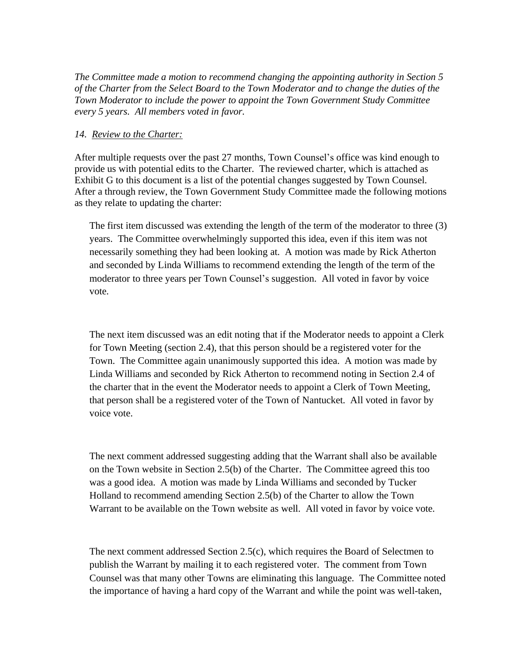*The Committee made a motion to recommend changing the appointing authority in Section 5 of the Charter from the Select Board to the Town Moderator and to change the duties of the Town Moderator to include the power to appoint the Town Government Study Committee every 5 years. All members voted in favor.*

#### *14. Review to the Charter:*

After multiple requests over the past 27 months, Town Counsel's office was kind enough to provide us with potential edits to the Charter. The reviewed charter, which is attached as Exhibit G to this document is a list of the potential changes suggested by Town Counsel. After a through review, the Town Government Study Committee made the following motions as they relate to updating the charter:

The first item discussed was extending the length of the term of the moderator to three (3) years. The Committee overwhelmingly supported this idea, even if this item was not necessarily something they had been looking at. A motion was made by Rick Atherton and seconded by Linda Williams to recommend extending the length of the term of the moderator to three years per Town Counsel's suggestion. All voted in favor by voice vote.

The next item discussed was an edit noting that if the Moderator needs to appoint a Clerk for Town Meeting (section 2.4), that this person should be a registered voter for the Town. The Committee again unanimously supported this idea. A motion was made by Linda Williams and seconded by Rick Atherton to recommend noting in Section 2.4 of the charter that in the event the Moderator needs to appoint a Clerk of Town Meeting, that person shall be a registered voter of the Town of Nantucket. All voted in favor by voice vote.

The next comment addressed suggesting adding that the Warrant shall also be available on the Town website in Section 2.5(b) of the Charter. The Committee agreed this too was a good idea. A motion was made by Linda Williams and seconded by Tucker Holland to recommend amending Section 2.5(b) of the Charter to allow the Town Warrant to be available on the Town website as well. All voted in favor by voice vote.

The next comment addressed Section 2.5(c), which requires the Board of Selectmen to publish the Warrant by mailing it to each registered voter. The comment from Town Counsel was that many other Towns are eliminating this language. The Committee noted the importance of having a hard copy of the Warrant and while the point was well-taken,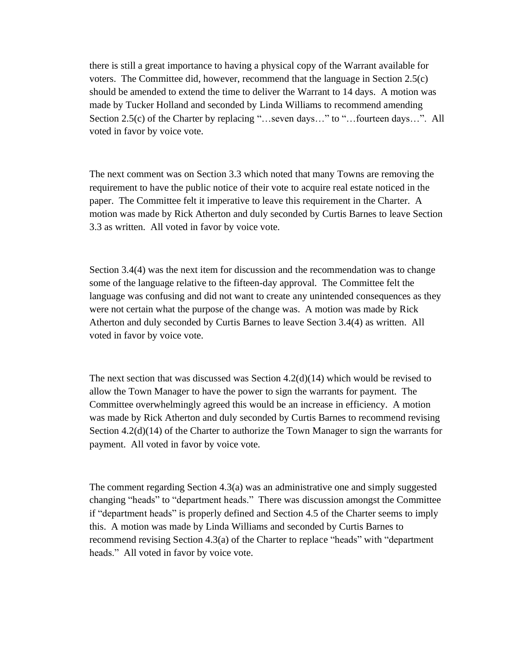there is still a great importance to having a physical copy of the Warrant available for voters. The Committee did, however, recommend that the language in Section 2.5(c) should be amended to extend the time to deliver the Warrant to 14 days. A motion was made by Tucker Holland and seconded by Linda Williams to recommend amending Section 2.5(c) of the Charter by replacing "…seven days…" to "…fourteen days…". All voted in favor by voice vote.

The next comment was on Section 3.3 which noted that many Towns are removing the requirement to have the public notice of their vote to acquire real estate noticed in the paper. The Committee felt it imperative to leave this requirement in the Charter. A motion was made by Rick Atherton and duly seconded by Curtis Barnes to leave Section 3.3 as written. All voted in favor by voice vote.

Section 3.4(4) was the next item for discussion and the recommendation was to change some of the language relative to the fifteen-day approval. The Committee felt the language was confusing and did not want to create any unintended consequences as they were not certain what the purpose of the change was. A motion was made by Rick Atherton and duly seconded by Curtis Barnes to leave Section 3.4(4) as written. All voted in favor by voice vote.

The next section that was discussed was Section 4.2(d)(14) which would be revised to allow the Town Manager to have the power to sign the warrants for payment. The Committee overwhelmingly agreed this would be an increase in efficiency. A motion was made by Rick Atherton and duly seconded by Curtis Barnes to recommend revising Section  $4.2(d)(14)$  of the Charter to authorize the Town Manager to sign the warrants for payment. All voted in favor by voice vote.

The comment regarding Section 4.3(a) was an administrative one and simply suggested changing "heads" to "department heads." There was discussion amongst the Committee if "department heads" is properly defined and Section 4.5 of the Charter seems to imply this. A motion was made by Linda Williams and seconded by Curtis Barnes to recommend revising Section 4.3(a) of the Charter to replace "heads" with "department heads." All voted in favor by voice vote.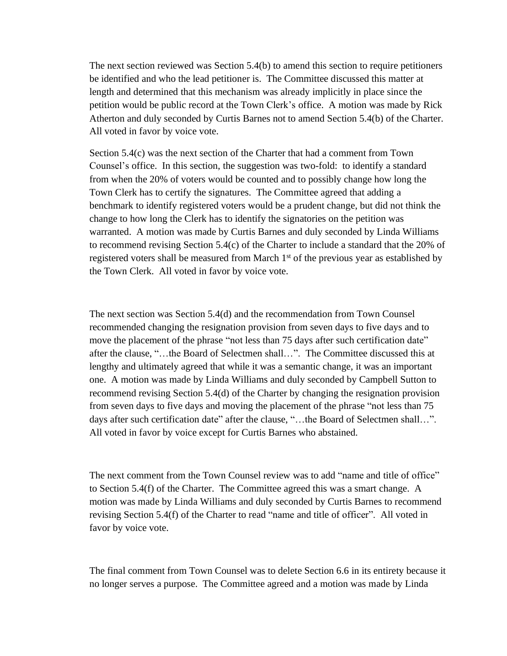The next section reviewed was Section 5.4(b) to amend this section to require petitioners be identified and who the lead petitioner is. The Committee discussed this matter at length and determined that this mechanism was already implicitly in place since the petition would be public record at the Town Clerk's office. A motion was made by Rick Atherton and duly seconded by Curtis Barnes not to amend Section 5.4(b) of the Charter. All voted in favor by voice vote.

Section 5.4(c) was the next section of the Charter that had a comment from Town Counsel's office. In this section, the suggestion was two-fold: to identify a standard from when the 20% of voters would be counted and to possibly change how long the Town Clerk has to certify the signatures. The Committee agreed that adding a benchmark to identify registered voters would be a prudent change, but did not think the change to how long the Clerk has to identify the signatories on the petition was warranted. A motion was made by Curtis Barnes and duly seconded by Linda Williams to recommend revising Section 5.4(c) of the Charter to include a standard that the 20% of registered voters shall be measured from March 1<sup>st</sup> of the previous year as established by the Town Clerk. All voted in favor by voice vote.

The next section was Section 5.4(d) and the recommendation from Town Counsel recommended changing the resignation provision from seven days to five days and to move the placement of the phrase "not less than 75 days after such certification date" after the clause, "…the Board of Selectmen shall…". The Committee discussed this at lengthy and ultimately agreed that while it was a semantic change, it was an important one. A motion was made by Linda Williams and duly seconded by Campbell Sutton to recommend revising Section 5.4(d) of the Charter by changing the resignation provision from seven days to five days and moving the placement of the phrase "not less than 75 days after such certification date" after the clause, "...the Board of Selectmen shall...". All voted in favor by voice except for Curtis Barnes who abstained.

The next comment from the Town Counsel review was to add "name and title of office" to Section 5.4(f) of the Charter. The Committee agreed this was a smart change. A motion was made by Linda Williams and duly seconded by Curtis Barnes to recommend revising Section 5.4(f) of the Charter to read "name and title of officer". All voted in favor by voice vote.

The final comment from Town Counsel was to delete Section 6.6 in its entirety because it no longer serves a purpose. The Committee agreed and a motion was made by Linda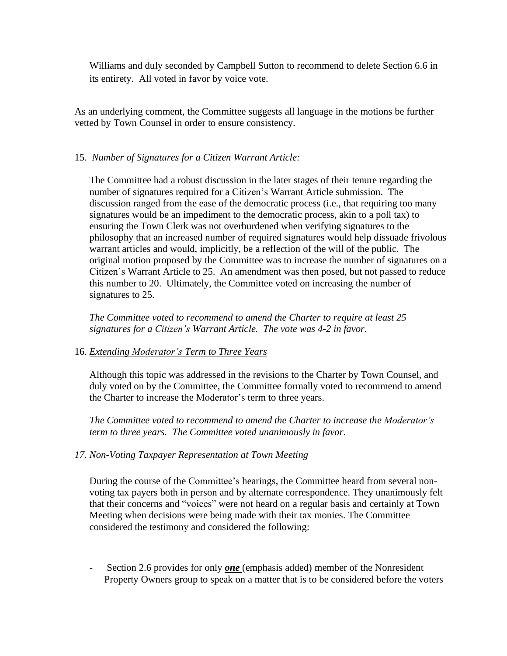Williams and duly seconded by Campbell Sutton to recommend to delete Section 6.6 in its entirety. All voted in favor by voice vote.

As an underlying comment, the Committee suggests all language in the motions be further vetted by Town Counsel in order to ensure consistency.

# 15. *Number of Signatures for a Citizen Warrant Article:*

The Committee had a robust discussion in the later stages of their tenure regarding the number of signatures required for a Citizen's Warrant Article submission. The discussion ranged from the ease of the democratic process (i.e., that requiring too many signatures would be an impediment to the democratic process, akin to a poll tax) to ensuring the Town Clerk was not overburdened when verifying signatures to the philosophy that an increased number of required signatures would help dissuade frivolous warrant articles and would, implicitly, be a reflection of the will of the public. The original motion proposed by the Committee was to increase the number of signatures on a Citizen's Warrant Article to 25. An amendment was then posed, but not passed to reduce this number to 20. Ultimately, the Committee voted on increasing the number of signatures to 25.

*The Committee voted to recommend to amend the Charter to require at least 25 signatures for a Citizen's Warrant Article. The vote was 4-2 in favor.* 

# 16. *Extending Moderator's Term to Three Years*

Although this topic was addressed in the revisions to the Charter by Town Counsel, and duly voted on by the Committee, the Committee formally voted to recommend to amend the Charter to increase the Moderator's term to three years.

*The Committee voted to recommend to amend the Charter to increase the Moderator's term to three years. The Committee voted unanimously in favor.* 

# *17. Non-Voting Taxpayer Representation at Town Meeting*

During the course of the Committee's hearings, the Committee heard from several nonvoting tax payers both in person and by alternate correspondence. They unanimously felt that their concerns and "voices" were not heard on a regular basis and certainly at Town Meeting when decisions were being made with their tax monies. The Committee considered the testimony and considered the following:

Section 2.6 provides for only **<u>one</u>** (emphasis added) member of the Nonresident Property Owners group to speak on a matter that is to be considered before the voters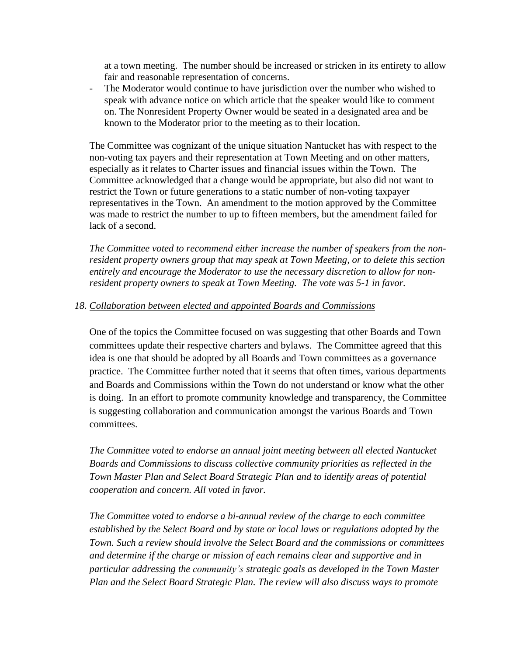at a town meeting. The number should be increased or stricken in its entirety to allow fair and reasonable representation of concerns.

- The Moderator would continue to have jurisdiction over the number who wished to speak with advance notice on which article that the speaker would like to comment on. The Nonresident Property Owner would be seated in a designated area and be known to the Moderator prior to the meeting as to their location.

The Committee was cognizant of the unique situation Nantucket has with respect to the non-voting tax payers and their representation at Town Meeting and on other matters, especially as it relates to Charter issues and financial issues within the Town. The Committee acknowledged that a change would be appropriate, but also did not want to restrict the Town or future generations to a static number of non-voting taxpayer representatives in the Town. An amendment to the motion approved by the Committee was made to restrict the number to up to fifteen members, but the amendment failed for lack of a second.

*The Committee voted to recommend either increase the number of speakers from the nonresident property owners group that may speak at Town Meeting, or to delete this section entirely and encourage the Moderator to use the necessary discretion to allow for nonresident property owners to speak at Town Meeting. The vote was 5-1 in favor.* 

#### *18. Collaboration between elected and appointed Boards and Commissions*

One of the topics the Committee focused on was suggesting that other Boards and Town committees update their respective charters and bylaws. The Committee agreed that this idea is one that should be adopted by all Boards and Town committees as a governance practice. The Committee further noted that it seems that often times, various departments and Boards and Commissions within the Town do not understand or know what the other is doing. In an effort to promote community knowledge and transparency, the Committee is suggesting collaboration and communication amongst the various Boards and Town committees.

*The Committee voted to endorse an annual joint meeting between all elected Nantucket Boards and Commissions to discuss collective community priorities as reflected in the Town Master Plan and Select Board Strategic Plan and to identify areas of potential cooperation and concern. All voted in favor.*

*The Committee voted to endorse a bi-annual review of the charge to each committee established by the Select Board and by state or local laws or regulations adopted by the Town. Such a review should involve the Select Board and the commissions or committees and determine if the charge or mission of each remains clear and supportive and in particular addressing the community's strategic goals as developed in the Town Master Plan and the Select Board Strategic Plan. The review will also discuss ways to promote*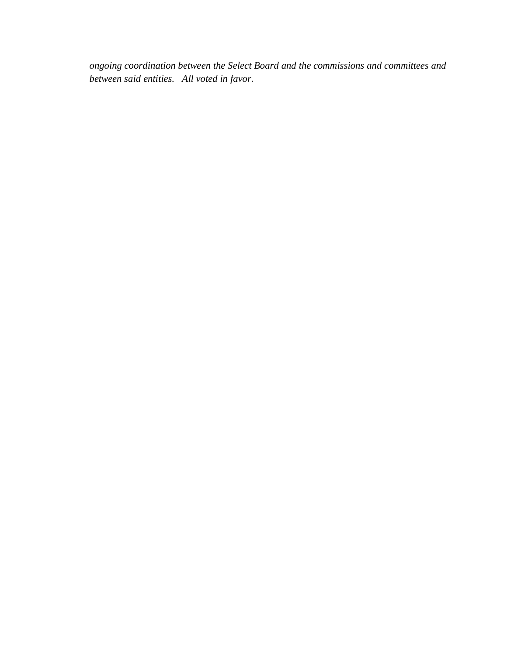*ongoing coordination between the Select Board and the commissions and committees and between said entities. All voted in favor.*